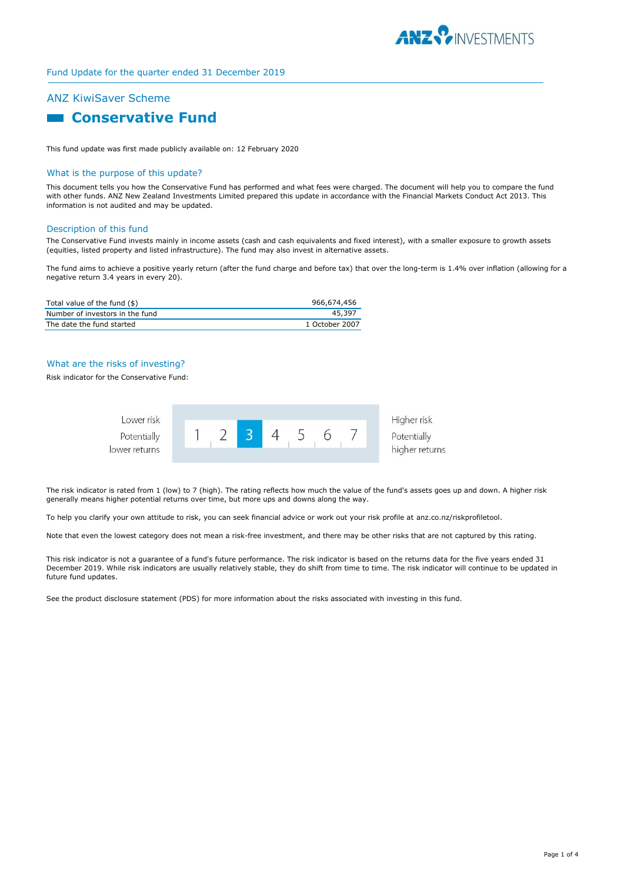

# Fund Update for the quarter ended 31 December 2019

# ANZ KiwiSaver Scheme

# **Conservative Fund**

This fund update was first made publicly available on: 12 February 2020

#### What is the purpose of this update?

This document tells you how the Conservative Fund has performed and what fees were charged. The document will help you to compare the fund with other funds. ANZ New Zealand Investments Limited prepared this update in accordance with the Financial Markets Conduct Act 2013. This information is not audited and may be updated.

#### Description of this fund

The Conservative Fund invests mainly in income assets (cash and cash equivalents and fixed interest), with a smaller exposure to growth assets (equities, listed property and listed infrastructure). The fund may also invest in alternative assets.

The fund aims to achieve a positive yearly return (after the fund charge and before tax) that over the long-term is 1.4% over inflation (allowing for a negative return 3.4 years in every 20).

| Total value of the fund (\$)    | 966.674.456    |
|---------------------------------|----------------|
| Number of investors in the fund | 45.397         |
| The date the fund started       | 1 October 2007 |

### What are the risks of investing?

Risk indicator for the Conservative Fund:



The risk indicator is rated from 1 (low) to 7 (high). The rating reflects how much the value of the fund's assets goes up and down. A higher risk generally means higher potential returns over time, but more ups and downs along the way.

To help you clarify your own attitude to risk, you can seek financial advice or work out your risk profile at anz.co.nz/riskprofiletool.

Note that even the lowest category does not mean a risk-free investment, and there may be other risks that are not captured by this rating.

This risk indicator is not a guarantee of a fund's future performance. The risk indicator is based on the returns data for the five years ended 31 December 2019. While risk indicators are usually relatively stable, they do shift from time to time. The risk indicator will continue to be updated in future fund updates.

See the product disclosure statement (PDS) for more information about the risks associated with investing in this fund.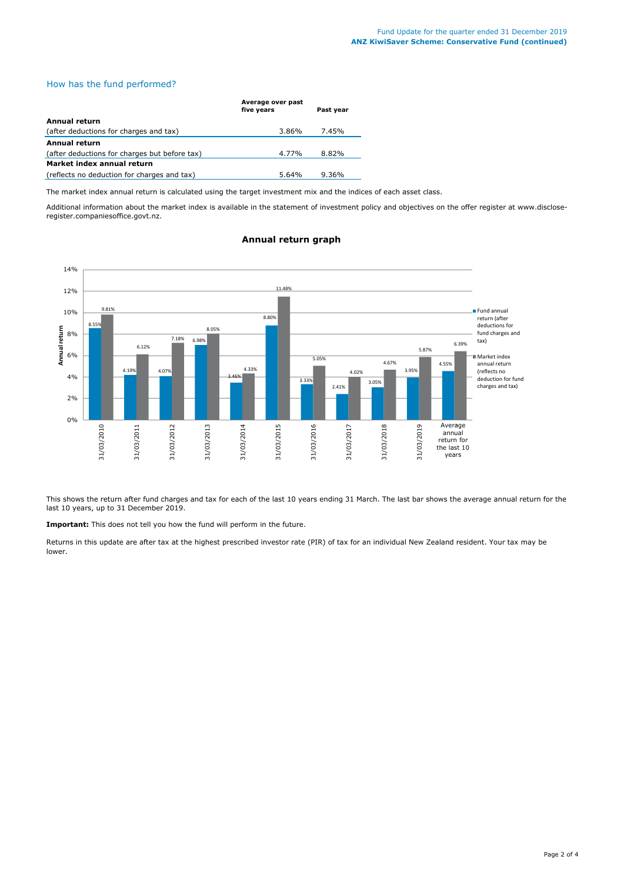# How has the fund performed?

|                                               | Average over past<br>five years | Past year |
|-----------------------------------------------|---------------------------------|-----------|
| <b>Annual return</b>                          |                                 |           |
| (after deductions for charges and tax)        | 3.86%                           | 7.45%     |
| <b>Annual return</b>                          |                                 |           |
| (after deductions for charges but before tax) | 4.77%                           | 8.82%     |
| Market index annual return                    |                                 |           |
| (reflects no deduction for charges and tax)   | 5.64%                           | $9.36\%$  |

The market index annual return is calculated using the target investment mix and the indices of each asset class.

Additional information about the market index is available in the statement of investment policy and objectives on the offer register at www.discloseregister.companiesoffice.govt.nz.



# **Annual return graph**

This shows the return after fund charges and tax for each of the last 10 years ending 31 March. The last bar shows the average annual return for the last 10 years, up to 31 December 2019.

**Important:** This does not tell you how the fund will perform in the future.

Returns in this update are after tax at the highest prescribed investor rate (PIR) of tax for an individual New Zealand resident. Your tax may be lower.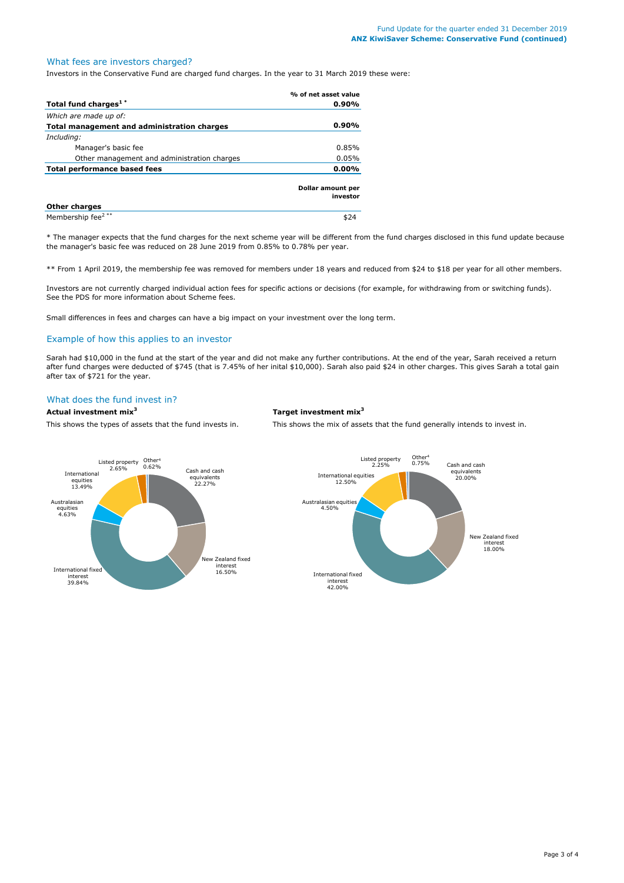# What fees are investors charged?

Investors in the Conservative Fund are charged fund charges. In the year to 31 March 2019 these were:

|                                             | % of net asset value                 |
|---------------------------------------------|--------------------------------------|
| Total fund charges <sup>1*</sup>            | $0.90\%$                             |
| Which are made up of:                       |                                      |
| Total management and administration charges | $0.90\%$                             |
| Including:                                  |                                      |
| Manager's basic fee                         | 0.85%                                |
| Other management and administration charges | 0.05%                                |
| Total performance based fees                | $0.00\%$                             |
|                                             | <b>Dollar amount per</b><br>investor |
| <b>Other charges</b>                        |                                      |
| Membership fee <sup>2**</sup>               |                                      |

\* The manager expects that the fund charges for the next scheme year will be different from the fund charges disclosed in this fund update because the manager's basic fee was reduced on 28 June 2019 from 0.85% to 0.78% per year.

\*\* From 1 April 2019, the membership fee was removed for members under 18 years and reduced from \$24 to \$18 per year for all other members.

Investors are not currently charged individual action fees for specific actions or decisions (for example, for withdrawing from or switching funds). See the PDS for more information about Scheme fees.

Small differences in fees and charges can have a big impact on your investment over the long term.

### Example of how this applies to an investor

Sarah had \$10,000 in the fund at the start of the year and did not make any further contributions. At the end of the year, Sarah received a return after fund charges were deducted of \$745 (that is 7.45% of her inital \$10,000). Sarah also paid \$24 in other charges. This gives Sarah a total gain after tax of \$721 for the year.

# What does the fund invest in?

**Actual investment mix<sup>3</sup> Target investment mix<sup>3</sup>**

This shows the types of assets that the fund invests in. This shows the mix of assets that the fund generally intends to invest in.